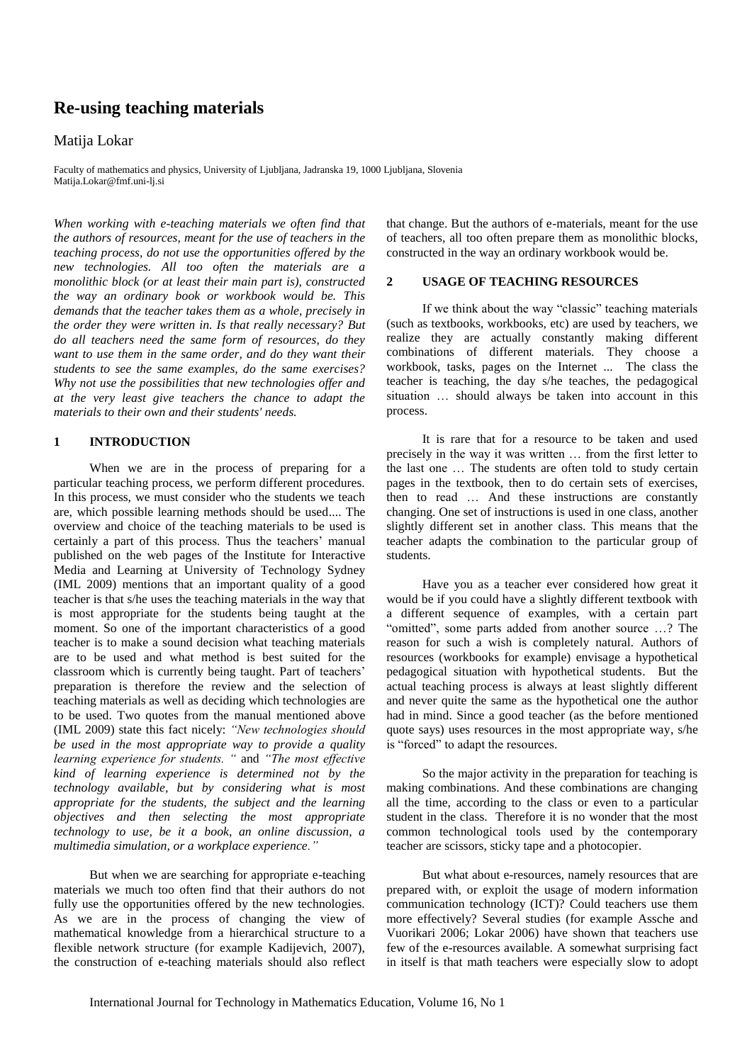# **Re-using teaching materials**

### Matija Lokar

Faculty of mathematics and physics, University of Ljubljana, Jadranska 19, 1000 Ljubljana, Slovenia Matija.Lokar@fmf.uni-lj.si

*When working with e-teaching materials we often find that the authors of resources, meant for the use of teachers in the teaching process, do not use the opportunities offered by the new technologies. All too often the materials are a monolithic block (or at least their main part is), constructed the way an ordinary book or workbook would be. This demands that the teacher takes them as a whole, precisely in the order they were written in. Is that really necessary? But do all teachers need the same form of resources, do they want to use them in the same order, and do they want their students to see the same examples, do the same exercises? Why not use the possibilities that new technologies offer and at the very least give teachers the chance to adapt the materials to their own and their students' needs.*

### **1 INTRODUCTION**

When we are in the process of preparing for a particular teaching process, we perform different procedures. In this process, we must consider who the students we teach are, which possible learning methods should be used.... The overview and choice of the teaching materials to be used is certainly a part of this process. Thus the teachers' manual published on the web pages of the Institute for Interactive Media and Learning at University of Technology Sydney (IML 2009) mentions that an important quality of a good teacher is that s/he uses the teaching materials in the way that is most appropriate for the students being taught at the moment. So one of the important characteristics of a good teacher is to make a sound decision what teaching materials are to be used and what method is best suited for the classroom which is currently being taught. Part of teachers' preparation is therefore the review and the selection of teaching materials as well as deciding which technologies are to be used. Two quotes from the manual mentioned above (IML 2009) state this fact nicely: *"New technologies should be used in the most appropriate way to provide a quality learning experience for students. "* and *"The most effective kind of learning experience is determined not by the technology available, but by considering what is most appropriate for the students, the subject and the learning objectives and then selecting the most appropriate technology to use, be it a book, an online discussion, a multimedia simulation, or a workplace experience."*

But when we are searching for appropriate e-teaching materials we much too often find that their authors do not fully use the opportunities offered by the new technologies. As we are in the process of changing the view of mathematical knowledge from a hierarchical structure to a flexible network structure (for example Kadijevich, 2007), the construction of e-teaching materials should also reflect

that change. But the authors of e-materials, meant for the use of teachers, all too often prepare them as monolithic blocks, constructed in the way an ordinary workbook would be.

### **2 USAGE OF TEACHING RESOURCES**

If we think about the way "classic" teaching materials (such as textbooks, workbooks, etc) are used by teachers, we realize they are actually constantly making different combinations of different materials. They choose a workbook, tasks, pages on the Internet ... The class the teacher is teaching, the day s/he teaches, the pedagogical situation … should always be taken into account in this process.

It is rare that for a resource to be taken and used precisely in the way it was written … from the first letter to the last one … The students are often told to study certain pages in the textbook, then to do certain sets of exercises, then to read … And these instructions are constantly changing. One set of instructions is used in one class, another slightly different set in another class. This means that the teacher adapts the combination to the particular group of students.

Have you as a teacher ever considered how great it would be if you could have a slightly different textbook with a different sequence of examples, with a certain part "omitted", some parts added from another source …? The reason for such a wish is completely natural. Authors of resources (workbooks for example) envisage a hypothetical pedagogical situation with hypothetical students. But the actual teaching process is always at least slightly different and never quite the same as the hypothetical one the author had in mind. Since a good teacher (as the before mentioned quote says) uses resources in the most appropriate way, s/he is "forced" to adapt the resources.

So the major activity in the preparation for teaching is making combinations. And these combinations are changing all the time, according to the class or even to a particular student in the class. Therefore it is no wonder that the most common technological tools used by the contemporary teacher are scissors, sticky tape and a photocopier.

But what about e-resources, namely resources that are prepared with, or exploit the usage of modern information communication technology (ICT)? Could teachers use them more effectively? Several studies (for example Assche and Vuorikari 2006; Lokar 2006) have shown that teachers use few of the e-resources available. A somewhat surprising fact in itself is that math teachers were especially slow to adopt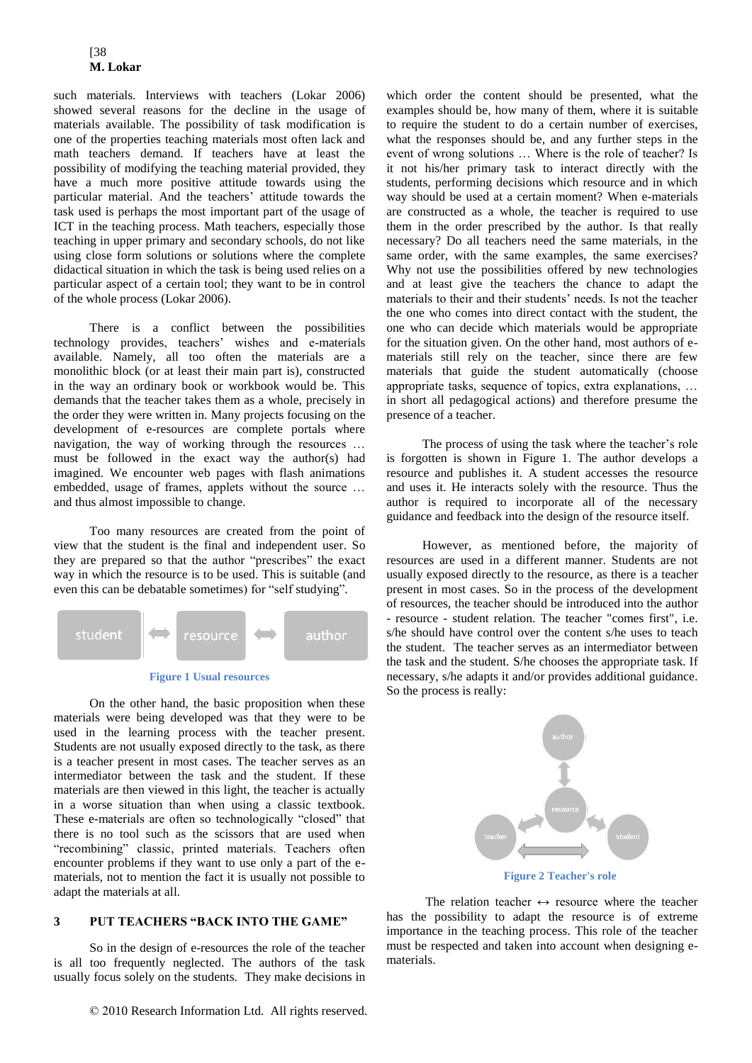such materials. Interviews with teachers (Lokar 2006) showed several reasons for the decline in the usage of materials available. The possibility of task modification is one of the properties teaching materials most often lack and math teachers demand. If teachers have at least the possibility of modifying the teaching material provided, they have a much more positive attitude towards using the particular material. And the teachers' attitude towards the task used is perhaps the most important part of the usage of ICT in the teaching process. Math teachers, especially those teaching in upper primary and secondary schools, do not like using close form solutions or solutions where the complete didactical situation in which the task is being used relies on a particular aspect of a certain tool; they want to be in control of the whole process (Lokar 2006).

There is a conflict between the possibilities technology provides, teachers' wishes and e-materials available. Namely, all too often the materials are a monolithic block (or at least their main part is), constructed in the way an ordinary book or workbook would be. This demands that the teacher takes them as a whole, precisely in the order they were written in. Many projects focusing on the development of e-resources are complete portals where navigation, the way of working through the resources … must be followed in the exact way the author(s) had imagined. We encounter web pages with flash animations embedded, usage of frames, applets without the source … and thus almost impossible to change.

Too many resources are created from the point of view that the student is the final and independent user. So they are prepared so that the author "prescribes" the exact way in which the resource is to be used. This is suitable (and even this can be debatable sometimes) for "self studying".





<span id="page-1-0"></span>On the other hand, the basic proposition when these materials were being developed was that they were to be used in the learning process with the teacher present. Students are not usually exposed directly to the task, as there is a teacher present in most cases. The teacher serves as an intermediator between the task and the student. If these materials are then viewed in this light, the teacher is actually in a worse situation than when using a classic textbook. These e-materials are often so technologically "closed" that there is no tool such as the scissors that are used when "recombining" classic, printed materials. Teachers often encounter problems if they want to use only a part of the ematerials, not to mention the fact it is usually not possible to adapt the materials at all.

# **3 PUT TEACHERS "BACK INTO THE GAME"**

So in the design of e-resources the role of the teacher is all too frequently neglected. The authors of the task usually focus solely on the students. They make decisions in

© 2010 Research Information Ltd. All rights reserved.

which order the content should be presented, what the examples should be, how many of them, where it is suitable to require the student to do a certain number of exercises, what the responses should be, and any further steps in the event of wrong solutions … Where is the role of teacher? Is it not his/her primary task to interact directly with the students, performing decisions which resource and in which way should be used at a certain moment? When e-materials are constructed as a whole, the teacher is required to use them in the order prescribed by the author. Is that really necessary? Do all teachers need the same materials, in the same order, with the same examples, the same exercises? Why not use the possibilities offered by new technologies and at least give the teachers the chance to adapt the materials to their and their students' needs. Is not the teacher the one who comes into direct contact with the student, the one who can decide which materials would be appropriate for the situation given. On the other hand, most authors of ematerials still rely on the teacher, since there are few materials that guide the student automatically (choose appropriate tasks, sequence of topics, extra explanations, … in short all pedagogical actions) and therefore presume the presence of a teacher.

The process of using the task where the teacher's role is forgotten is shown in [Figure 1.](#page-1-0) The author develops a resource and publishes it. A student accesses the resource and uses it. He interacts solely with the resource. Thus the author is required to incorporate all of the necessary guidance and feedback into the design of the resource itself.

However, as mentioned before, the majority of resources are used in a different manner. Students are not usually exposed directly to the resource, as there is a teacher present in most cases. So in the process of the development of resources, the teacher should be introduced into the author - resource - student relation. The teacher "comes first", i.e. s/he should have control over the content s/he uses to teach the student. The teacher serves as an intermediator between the task and the student. S/he chooses the appropriate task. If necessary, s/he adapts it and/or provides additional guidance. So the process is really:



The relation teacher  $\leftrightarrow$  resource where the teacher has the possibility to adapt the resource is of extreme importance in the teaching process. This role of the teacher must be respected and taken into account when designing ematerials.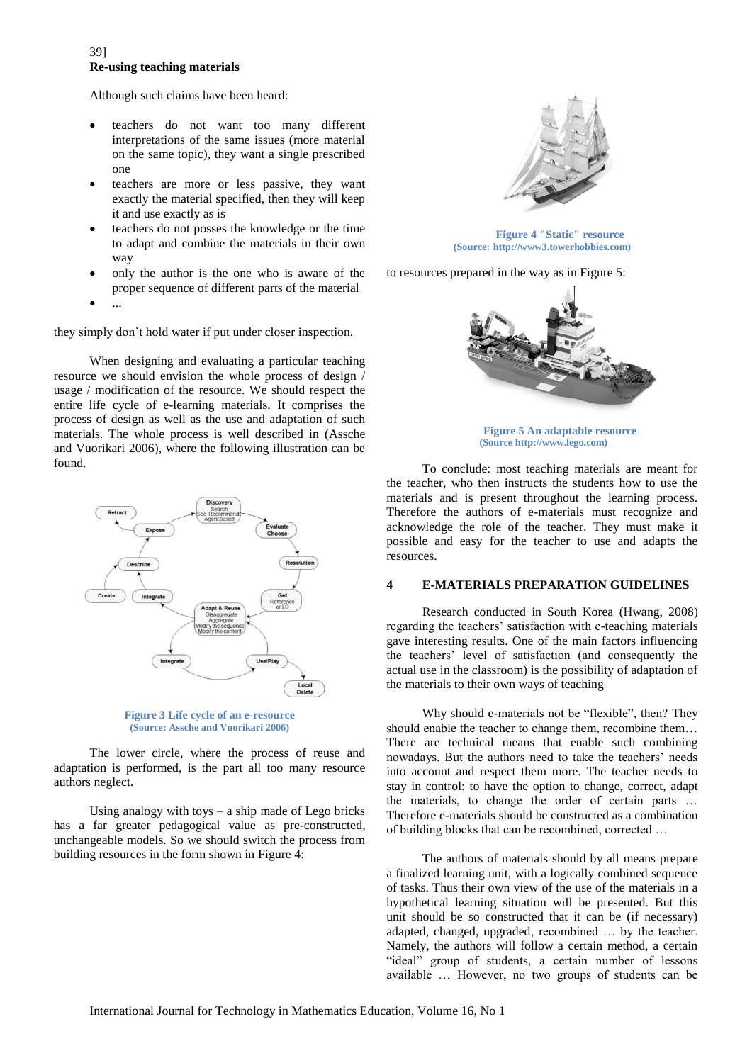### 39] **Re-using teaching materials**

Although such claims have been heard:

- teachers do not want too many different interpretations of the same issues (more material on the same topic), they want a single prescribed one
- teachers are more or less passive, they want exactly the material specified, then they will keep it and use exactly as is
- teachers do not posses the knowledge or the time to adapt and combine the materials in their own way
- only the author is the one who is aware of the proper sequence of different parts of the material
- $\bullet$  ...

they simply don't hold water if put under closer inspection.

When designing and evaluating a particular teaching resource we should envision the whole process of design / usage / modification of the resource. We should respect the entire life cycle of e-learning materials. It comprises the process of design as well as the use and adaptation of such materials. The whole process is well described in (Assche and Vuorikari 2006), where the following illustration can be found.



**Figure 3 Life cycle of an e-resource (Source: Assche and Vuorikari 2006)**

The lower circle, where the process of reuse and adaptation is performed, is the part all too many resource authors neglect.

Using analogy with toys  $-$  a ship made of Lego bricks has a far greater pedagogical value as pre-constructed, unchangeable models. So we should switch the process from building resources in the form shown in [Figure 4:](#page-2-0)



**Figure 4 "Static" resource (Source: http://www3.towerhobbies.com)**

<span id="page-2-0"></span>to resources prepared in the way as in [Figure 5:](#page-2-1)



**Figure 5 An adaptable resource (Source http://www.lego.com)**

<span id="page-2-1"></span>To conclude: most teaching materials are meant for the teacher, who then instructs the students how to use the materials and is present throughout the learning process. Therefore the authors of e-materials must recognize and acknowledge the role of the teacher. They must make it possible and easy for the teacher to use and adapts the resources.

### **4 E-MATERIALS PREPARATION GUIDELINES**

Research conducted in South Korea (Hwang, 2008) regarding the teachers' satisfaction with e-teaching materials gave interesting results. One of the main factors influencing the teachers' level of satisfaction (and consequently the actual use in the classroom) is the possibility of adaptation of the materials to their own ways of teaching

Why should e-materials not be "flexible", then? They should enable the teacher to change them, recombine them… There are technical means that enable such combining nowadays. But the authors need to take the teachers' needs into account and respect them more. The teacher needs to stay in control: to have the option to change, correct, adapt the materials, to change the order of certain parts … Therefore e-materials should be constructed as a combination of building blocks that can be recombined, corrected …

The authors of materials should by all means prepare a finalized learning unit, with a logically combined sequence of tasks. Thus their own view of the use of the materials in a hypothetical learning situation will be presented. But this unit should be so constructed that it can be (if necessary) adapted, changed, upgraded, recombined … by the teacher. Namely, the authors will follow a certain method, a certain "ideal" group of students, a certain number of lessons available … However, no two groups of students can be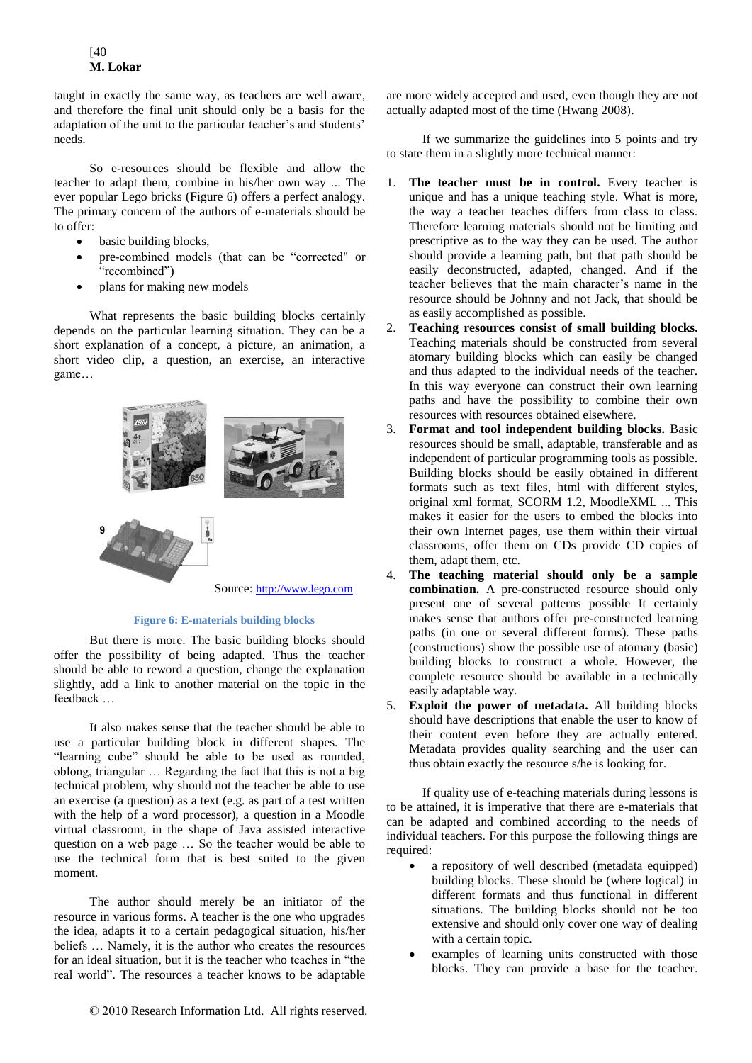## [40 **M. Lokar**

taught in exactly the same way, as teachers are well aware, and therefore the final unit should only be a basis for the adaptation of the unit to the particular teacher's and students' needs.

So e-resources should be flexible and allow the teacher to adapt them, combine in his/her own way ... The ever popular Lego bricks (Figure 6) offers a perfect analogy. The primary concern of the authors of e-materials should be to offer:

- basic building blocks,
- pre-combined models (that can be "corrected" or "recombined")
- plans for making new models

What represents the basic building blocks certainly depends on the particular learning situation. They can be a short explanation of a concept, a picture, an animation, a short video clip, a question, an exercise, an interactive game…



**Figure 6: E-materials building blocks**

But there is more. The basic building blocks should offer the possibility of being adapted. Thus the teacher should be able to reword a question, change the explanation slightly, add a link to another material on the topic in the feedback …

It also makes sense that the teacher should be able to use a particular building block in different shapes. The "learning cube" should be able to be used as rounded, oblong, triangular … Regarding the fact that this is not a big technical problem, why should not the teacher be able to use an exercise (a question) as a text (e.g. as part of a test written with the help of a word processor), a question in a Moodle virtual classroom, in the shape of Java assisted interactive question on a web page … So the teacher would be able to use the technical form that is best suited to the given moment.

The author should merely be an initiator of the resource in various forms. A teacher is the one who upgrades the idea, adapts it to a certain pedagogical situation, his/her beliefs … Namely, it is the author who creates the resources for an ideal situation, but it is the teacher who teaches in "the real world". The resources a teacher knows to be adaptable are more widely accepted and used, even though they are not actually adapted most of the time (Hwang 2008).

If we summarize the guidelines into 5 points and try to state them in a slightly more technical manner:

- 1. **The teacher must be in control.** Every teacher is unique and has a unique teaching style. What is more, the way a teacher teaches differs from class to class. Therefore learning materials should not be limiting and prescriptive as to the way they can be used. The author should provide a learning path, but that path should be easily deconstructed, adapted, changed. And if the teacher believes that the main character's name in the resource should be Johnny and not Jack, that should be as easily accomplished as possible.
- 2. **Teaching resources consist of small building blocks.** Teaching materials should be constructed from several atomary building blocks which can easily be changed and thus adapted to the individual needs of the teacher. In this way everyone can construct their own learning paths and have the possibility to combine their own resources with resources obtained elsewhere.
- 3. **Format and tool independent building blocks.** Basic resources should be small, adaptable, transferable and as independent of particular programming tools as possible. Building blocks should be easily obtained in different formats such as text files, html with different styles, original xml format, SCORM 1.2, MoodleXML ... This makes it easier for the users to embed the blocks into their own Internet pages, use them within their virtual classrooms, offer them on CDs provide CD copies of them, adapt them, etc.
- 4. **The teaching material should only be a sample combination.** A pre-constructed resource should only present one of several patterns possible It certainly makes sense that authors offer pre-constructed learning paths (in one or several different forms). These paths (constructions) show the possible use of atomary (basic) building blocks to construct a whole. However, the complete resource should be available in a technically easily adaptable way.
- 5. **Exploit the power of metadata.** All building blocks should have descriptions that enable the user to know of their content even before they are actually entered. Metadata provides quality searching and the user can thus obtain exactly the resource s/he is looking for.

If quality use of e-teaching materials during lessons is to be attained, it is imperative that there are e-materials that can be adapted and combined according to the needs of individual teachers. For this purpose the following things are required:

- a repository of well described (metadata equipped) building blocks. These should be (where logical) in different formats and thus functional in different situations. The building blocks should not be too extensive and should only cover one way of dealing with a certain topic.
- examples of learning units constructed with those blocks. They can provide a base for the teacher.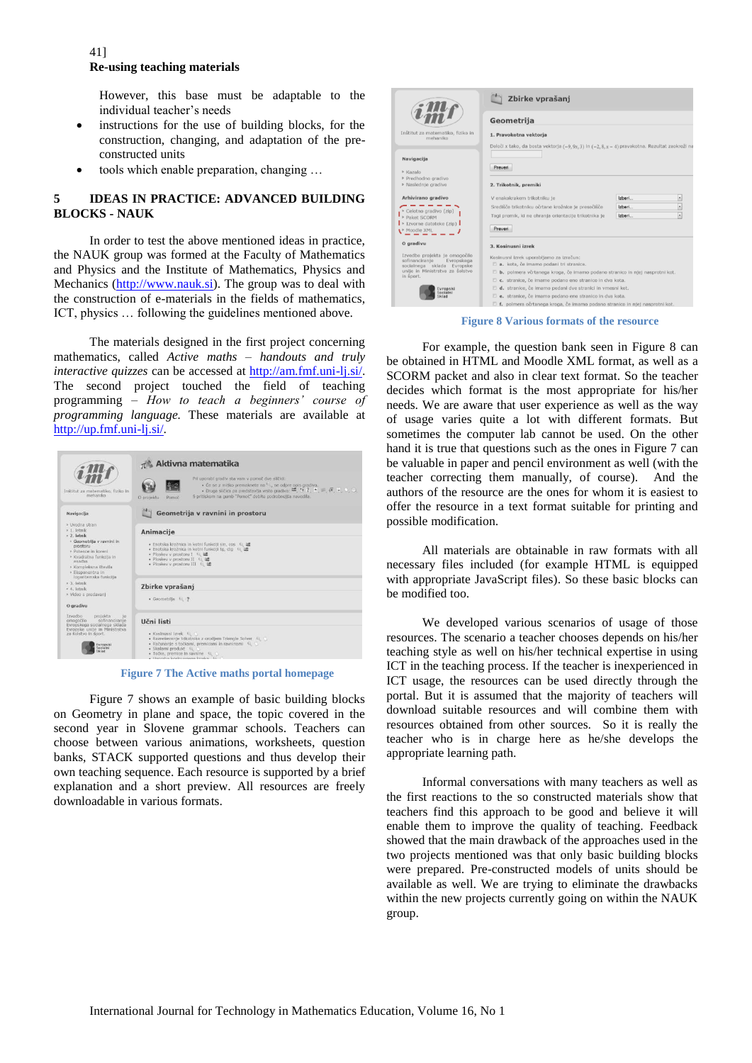### 41] **Re-using teaching materials**

However, this base must be adaptable to the individual teacher's needs

- instructions for the use of building blocks, for the construction, changing, and adaptation of the preconstructed units
- tools which enable preparation, changing …

### **5 IDEAS IN PRACTICE: ADVANCED BUILDING BLOCKS - NAUK**

In order to test the above mentioned ideas in practice, the NAUK group was formed at the Faculty of Mathematics and Physics and the Institute of Mathematics, Physics and Mechanics [\(http://www.nauk.si\)](http://www.nauk.si/). The group was to deal with the construction of e-materials in the fields of mathematics, ICT, physics … following the guidelines mentioned above.

The materials designed in the first project concerning mathematics, called *Active maths – handouts and truly interactive quizzes* can be accessed at [http://am.fmf.uni-lj.si/.](http://am.fmf.uni-lj.si/) The second project touched the field of teaching programming – *How to teach a beginners' course of programming language.* These materials are available at [http://up.fmf.uni-lj.si/.](http://up.fmf.uni-lj.si/)

|                                                                                                                                                                                       | $\pi$ <sup>*</sup> Aktivna matematika                                                                                                                                                                                                                                                                                                                                                                                                                                                 |  |  |
|---------------------------------------------------------------------------------------------------------------------------------------------------------------------------------------|---------------------------------------------------------------------------------------------------------------------------------------------------------------------------------------------------------------------------------------------------------------------------------------------------------------------------------------------------------------------------------------------------------------------------------------------------------------------------------------|--|--|
| Inštitut za matematiko, fiziko in<br>mehaniko                                                                                                                                         | Pri uporabi gradiv sta vam v pomoč dve sličici:<br>· Če se z míško premaknete na  se odpre opis gradiva.<br>• Druga sličica pa predstavlja vrsto gradiva: $\vec{w}$ , $\vec{v}$ ?, $\vec{v}$ , $\vec{w}$ , $\vec{w}$ , $\vec{v}$ , $\vec{v}$ , $\vec{v}$ , $\vec{v}$ , $\vec{v}$ , $\vec{v}$ , $\vec{v}$ , $\vec{v}$ , $\vec{v}$ , $\vec{v}$ , $\vec{v}$ , $\vec{v}$ , $\vec{v}$ , $\vec{v}$ , $\$<br>S pritiskom na gumb "Pomoč" dobite podrobnejša navodila.<br>O protektu<br>Pomoč |  |  |
| Navigacija                                                                                                                                                                            | Geometrija v ravnini in prostoru                                                                                                                                                                                                                                                                                                                                                                                                                                                      |  |  |
| » Uvodna stran<br>> 1. letnik                                                                                                                                                         | Animacije                                                                                                                                                                                                                                                                                                                                                                                                                                                                             |  |  |
| » 2. letnik<br>» Geometrija v ravnini in<br>prostoru<br>» Potence in koreni<br>» Kvadratna funkcija in<br>enačba<br>» Kompleksna števila<br>» Eksponentna in<br>logaritemska funkcija | · Enotska krožnica in kotni funkciji sin, cos L. af<br>· Enotska krožnica in kotni funkciji to, cto et af<br>· Ploskey v prostoru I <sup>e</sup> af<br>· Ploskey y prostoru II E. at<br>. Ploskey v prostoru III € af                                                                                                                                                                                                                                                                 |  |  |
| $>3$ letnik<br>> 4. letnik                                                                                                                                                            | Zbirke vprašanj                                                                                                                                                                                                                                                                                                                                                                                                                                                                       |  |  |
| » Video s predavaní<br>O gradivu                                                                                                                                                      | · Geometrila EL 2                                                                                                                                                                                                                                                                                                                                                                                                                                                                     |  |  |
| Izvedbo<br>projekta<br>30<br>omogočilo<br>sofinanciranie<br>Evropskega socialnega sklada<br>Evropske unile in Ministrstva<br>za šolstvo in šport.<br>vropski<br>ocialni               | Učni listi<br>· Kosinusni izrek ka<br>· Razreševanje trikotnika z orodjem Triangle Solver EL (<br>. Računanje s točkami, premicami in ravninami €<br>· Skalarni produkt 62<br>· Točke, premice in raynine E. C.                                                                                                                                                                                                                                                                       |  |  |

**Figure 7 The Active maths portal homepage**

Figure 7 shows an example of basic building blocks on Geometry in plane and space, the topic covered in the second year in Slovene grammar schools. Teachers can choose between various animations, worksheets, question banks, STACK supported questions and thus develop their own teaching sequence. Each resource is supported by a brief explanation and a short preview. All resources are freely downloadable in various formats.

|                                                            | Zbirke vprašanj                                                                                 |        |                          |
|------------------------------------------------------------|-------------------------------------------------------------------------------------------------|--------|--------------------------|
|                                                            | Geometrija                                                                                      |        |                          |
| nštitut za matematiko, fiziko in<br>mehaniko               | 1. Pravokotna vektorja                                                                          |        |                          |
|                                                            | Določi x tako, da bosta vektorja (-9, 9x, 3) in (-2, 8, x - 4) pravokotna. Rezultat zaokroži na |        |                          |
| Navigacija                                                 |                                                                                                 |        |                          |
| Kazalo<br>Predhodno gradivo                                | Preveri                                                                                         |        |                          |
| Naslednje gradivo                                          | 2. Trikotnik, premiki                                                                           |        |                          |
| Arhivirano gradivo                                         | V enakokrakem trikotniku je                                                                     | Izberi |                          |
| Celotno gradivo (zip)                                      | Središče trikotniku očrtane krožnice je presečišče                                              | Izberi | $\blacksquare$           |
| Paket SCORM                                                | Togi premik, ki ne ohranja orientacije trikotnika je                                            | Izberi | $\overline{\phantom{0}}$ |
| Izvorne datoteke (zip)<br>Moodle XML                       | Preveri                                                                                         |        |                          |
| O gradivu                                                  | 3. Kosinusni izrek                                                                              |        |                          |
| Izvedbo projekta je omogočilo                              | Kosinusni izrek uporabljamo za izračun:                                                         |        |                          |
| sofinanciranje<br>Evropskega<br>socialnega sklada Evropske | a. kota, če imamo podani tri stranice.                                                          |        |                          |
| unije in Ministrstva za šolstvo<br>n šport.                | b. polmera včrtanega kroga, če imamo podano stranico in njej nasprotni kot.                     |        |                          |
|                                                            | c. stranice, če imamo podano eno stranico in dva kota.                                          |        |                          |
| vropski<br>Socialni<br>Sklad                               | d. stranice, če imamo podani dve stranici in vmesni kot.                                        |        |                          |
|                                                            | e. stranice, če imamo podano eno stranico in dva kota.                                          |        |                          |
|                                                            | f. polmera očrtanega kroga, če imamo podano stranico in njej nasprotni kot.                     |        |                          |

イーリー

**Figure 8 Various formats of the resource**

For example, the question bank seen in Figure 8 can be obtained in HTML and Moodle XML format, as well as a SCORM packet and also in clear text format. So the teacher decides which format is the most appropriate for his/her needs. We are aware that user experience as well as the way of usage varies quite a lot with different formats. But sometimes the computer lab cannot be used. On the other hand it is true that questions such as the ones in Figure 7 can be valuable in paper and pencil environment as well (with the teacher correcting them manually, of course). And the authors of the resource are the ones for whom it is easiest to offer the resource in a text format suitable for printing and possible modification.

All materials are obtainable in raw formats with all necessary files included (for example HTML is equipped with appropriate JavaScript files). So these basic blocks can be modified too.

We developed various scenarios of usage of those resources. The scenario a teacher chooses depends on his/her teaching style as well on his/her technical expertise in using ICT in the teaching process. If the teacher is inexperienced in ICT usage, the resources can be used directly through the portal. But it is assumed that the majority of teachers will download suitable resources and will combine them with resources obtained from other sources. So it is really the teacher who is in charge here as he/she develops the appropriate learning path.

Informal conversations with many teachers as well as the first reactions to the so constructed materials show that teachers find this approach to be good and believe it will enable them to improve the quality of teaching. Feedback showed that the main drawback of the approaches used in the two projects mentioned was that only basic building blocks were prepared. Pre-constructed models of units should be available as well. We are trying to eliminate the drawbacks within the new projects currently going on within the NAUK group.